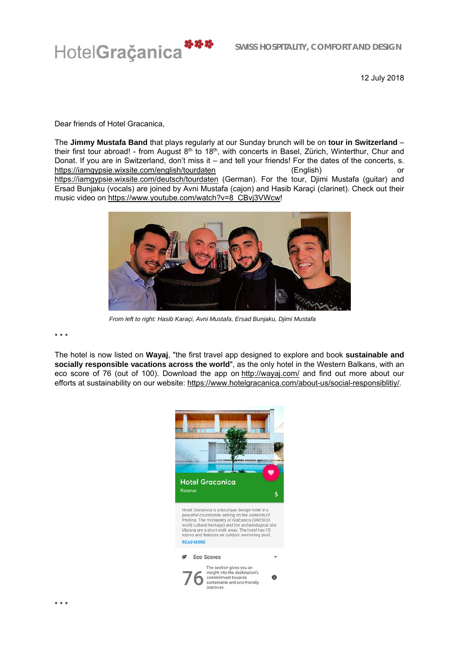

12 July 2018

Dear friends of Hotel Gracanica,

The **Jimmy Mustafa Band** that plays regularly at our Sunday brunch will be on **tour in Switzerland** – their first tour abroad! - from August 8<sup>th</sup> to 18<sup>th</sup>, with concerts in Basel, Zürich, Winterthur, Chur and Donat. If you are in Switzerland, don't miss it – and tell your friends! For the dates of the concerts, s. https://iamgypsie.wixsite.com/english/tourdaten (English) or https://iamgypsie.wixsite.com/deutsch/tourdaten (German). For the tour, Djimi Mustafa (guitar) and Ersad Bunjaku (vocals) are joined by Avni Mustafa (cajon) and Hasib Karaçi (clarinet). Check out their music video on https://www.youtube.com/watch?v=8\_CBvj3VWcw!



 *From left to right: Hasib Karaçi, Avni Mustafa, Ersad Bunjaku, Djimi Mustafa* 

\* \* \*

The hotel is now listed on **Wayaj**, "the first travel app designed to explore and book **sustainable and socially responsible vacations across the world**", as the only hotel in the Western Balkans, with an eco score of 76 (out of 100). Download the app on http://wayaj.com/ and find out more about our efforts at sustainability on our website: https://www.hotelgracanica.com/about-us/social-responsiblitiy/.

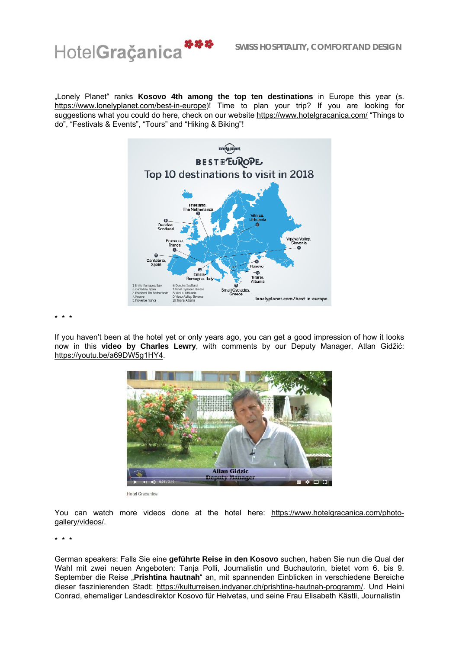

"Lonely Planet" ranks Kosovo 4th among the top ten destinations in Europe this year (s. https://www.lonelyplanet.com/best-in-europe)! Time to plan your trip? If you are looking for suggestions what you could do here, check on our website https://www.hotelgracanica.com/ "Things to do", "Festivals & Events", "Tours" and "Hiking & Biking"!



\* \* \*

If you haven't been at the hotel yet or only years ago, you can get a good impression of how it looks now in this **video by Charles Lewry**, with comments by our Deputy Manager, Atlan Gidžić: https://youtu.be/a69DW5g1HY4.



Hotel Gracanica

You can watch more videos done at the hotel here: https://www.hotelgracanica.com/photogallery/videos/.

\* \* \*

German speakers: Falls Sie eine **geführte Reise in den Kosovo** suchen, haben Sie nun die Qual der Wahl mit zwei neuen Angeboten: Tanja Polli, Journalistin und Buchautorin, bietet vom 6. bis 9. September die Reise "**Prishtina hautnah**" an, mit spannenden Einblicken in verschiedene Bereiche dieser faszinierenden Stadt: https://kulturreisen.indyaner.ch/prishtina-hautnah-programm/. Und Heini Conrad, ehemaliger Landesdirektor Kosovo für Helvetas, und seine Frau Elisabeth Kästli, Journalistin